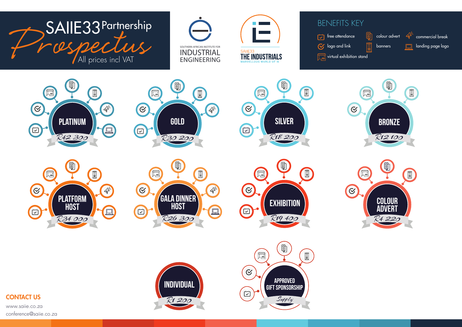

conference@saiie.co.za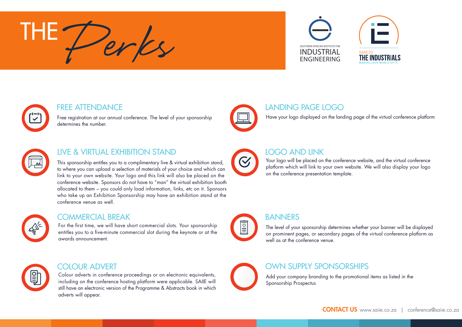# ENGINEERING PERSON NETTUTE FOR AFRICAN INSTITUTE FOR AFRICAN INSTITUTE FOR THE<sup>-</sup>





## FREE ATTENDANCE

Free registration at our annual conference. The level of your sponsorship determines the number.



## LIVE & VIRTUAL EXHIBITION STAND

This sponsorship entitles you to a complimentary live & virtual exhibition stand, to where you can upload a selection of materials of your choice and which can link to your own website. Your logo and this link will also be placed on the conference website. Sponsors do not have to "man" the virtual exhibition booth allocated to them – you could only load information, links, etc on it. Sponsors who take up an Exhibition Sponsorship may have an exhibition stand at the conference venue as well.



#### COMMERCIAL BREAK

For the first time, we will have short commercial slots. Your sponsorship entitles you to a five-minute commercial slot during the keynote or at the awards announcement.



#### COLOUR ADVERT

Colour adverts in conference proceedings or on electronic equivalents, including on the conference hosting platform were applicable. SAIIE will still have an electronic version of the Programme & Abstracts book in which adverts will appear.



### LANDING PAGE LOGO

Have your logo displayed on the landing page of the virtual conference platform



# LOGO AND LINK

Your logo will be placed on the conference website, and the virtual conference platform which will link to your own website. We will also display your logo on the conference presentation template.



# BANNERS

The level of your sponsorship determines whether your banner will be displayed on prominent pages, or secondary pages of the virtual conference platform as well as at the conference venue.



## OWN SUPPLY SPONSORSHIPS

Add your company branding to the promotional items as listed in the Sponsorship Prospectus